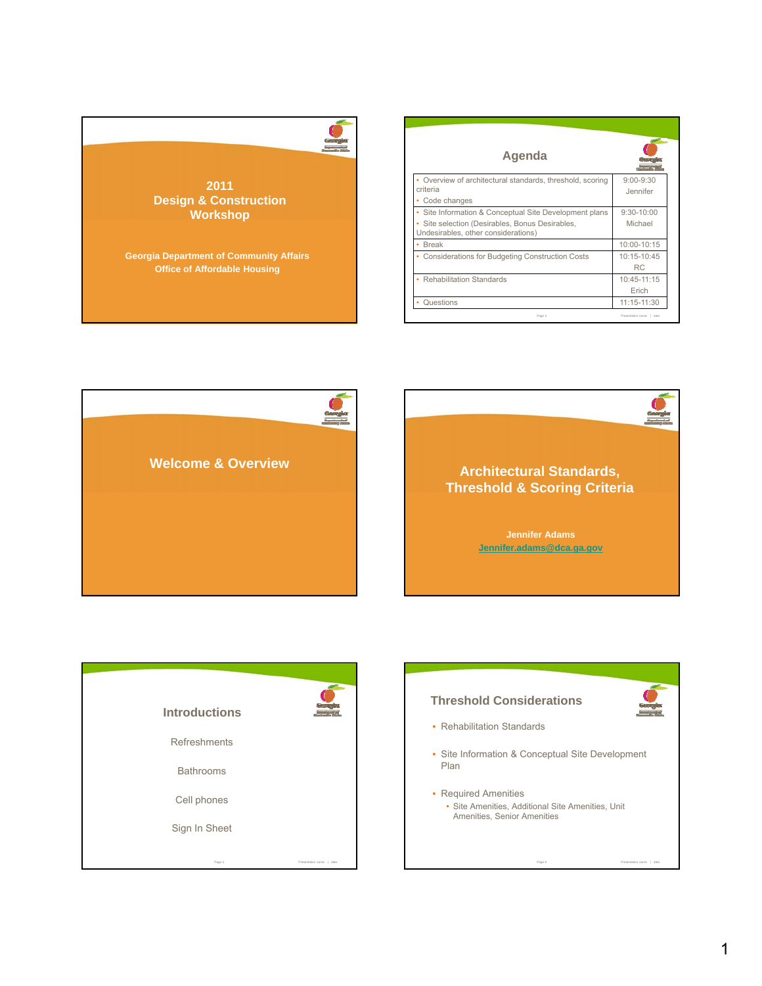

| Agenda                                                                                                                                       |                             |
|----------------------------------------------------------------------------------------------------------------------------------------------|-----------------------------|
| Overview of architectural standards, threshold, scoring<br>criteria<br>Code changes                                                          | $9:00 - 9:30$<br>Jennifer   |
| Site Information & Conceptual Site Development plans<br>Site selection (Desirables, Bonus Desirables,<br>Undesirables, other considerations) | $9:30 - 10:00$<br>Michael   |
| <b>Break</b>                                                                                                                                 | 10:00-10:15                 |
| <b>Considerations for Budgeting Construction Costs</b>                                                                                       | 10:15-10:45<br>RC           |
| <b>Rehabilitation Standards</b>                                                                                                              | 10:45-11:15<br>Erich        |
| Questions                                                                                                                                    | $11:15 - 11:30$             |
| Page 4                                                                                                                                       | Presentation name  <br>date |







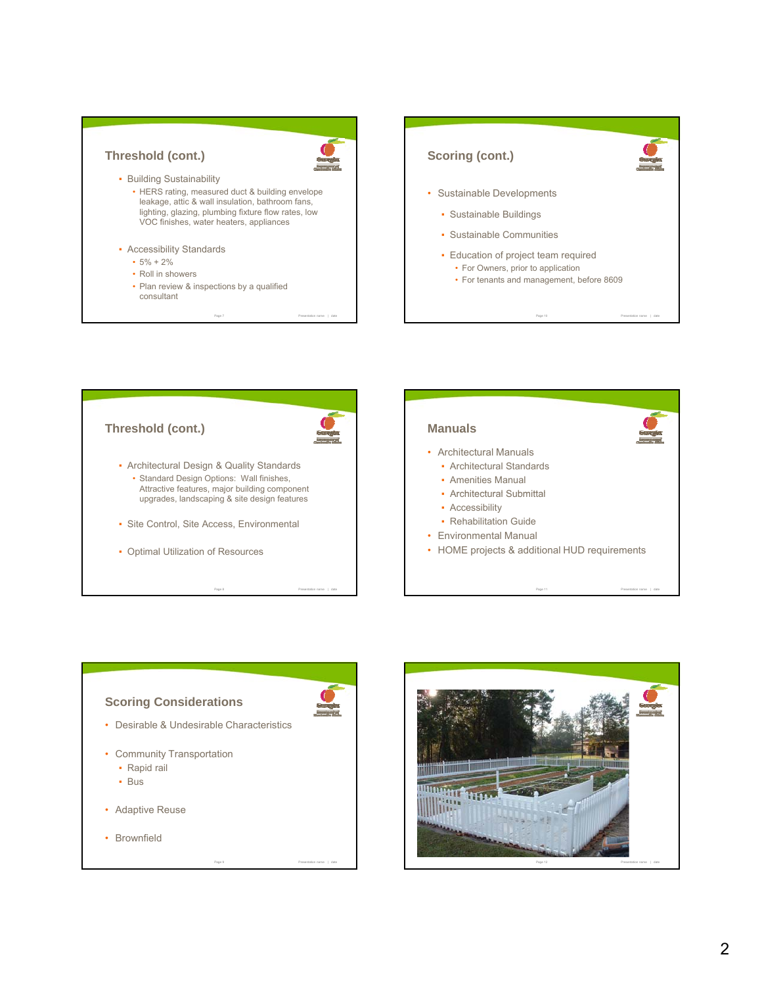## **Threshold (cont.)**



**• Building Sustainability** 



- Accessibility Standards
	- $5\% + 2\%$
	- Roll in showers
	- Plan review & inspections by a qualified consultant

Page 7 Presentation name | date







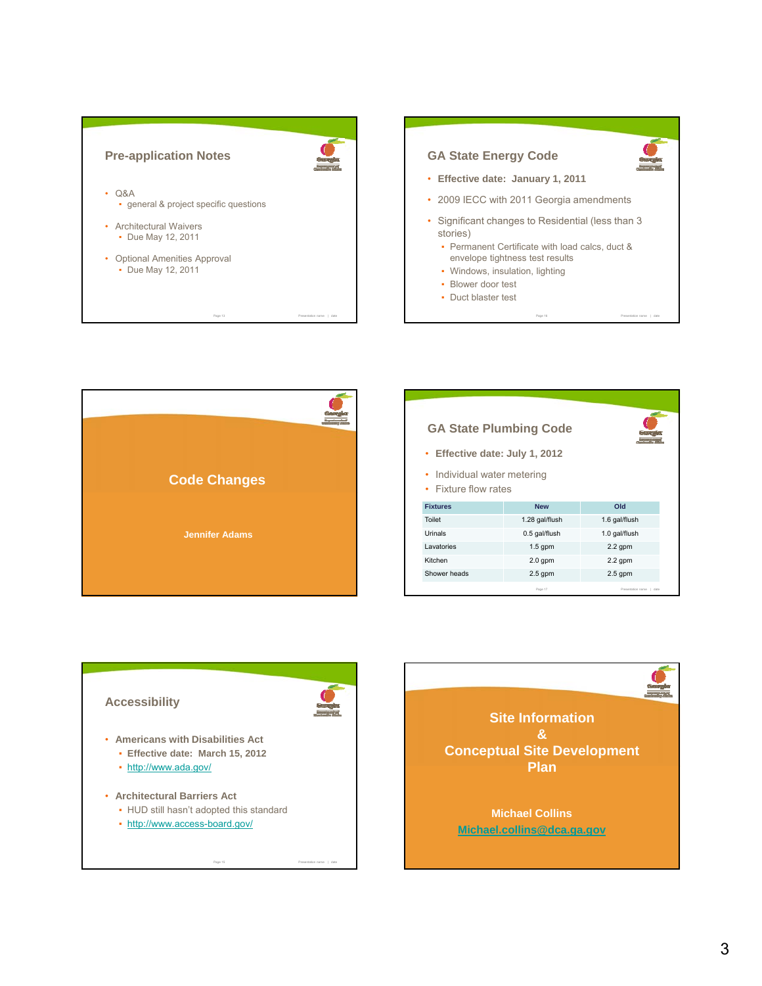

**Code Changes**

**Jennifer Adams**



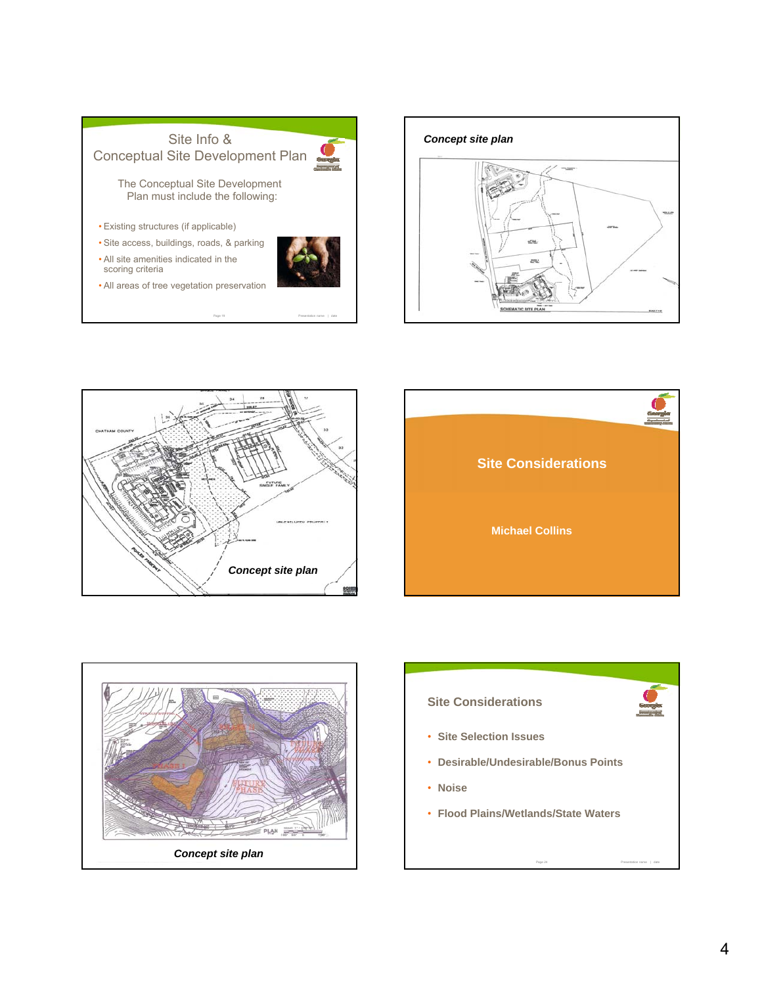

Page 19 **Presentation name | date** 









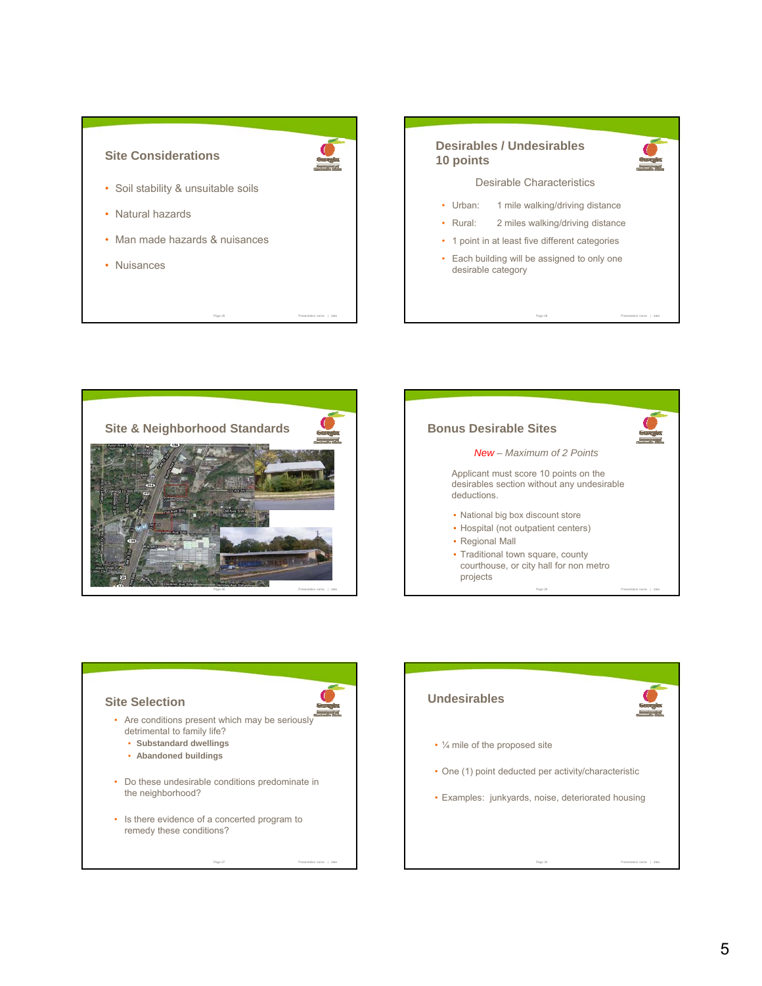



Page 25 Presentation name | date



Page 28 **Presentation name | date** 



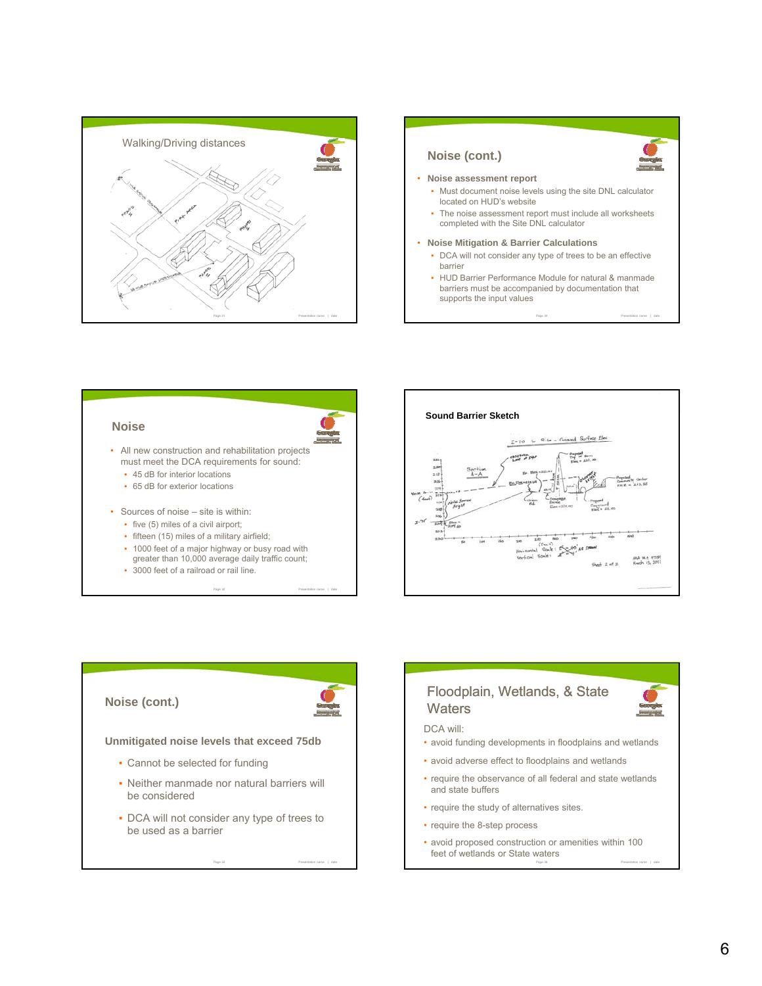







Page 33 Presentation name | date

# Floodplain, Wetlands, & State

- avoid funding developments in floodplains and wetlands
- avoid adverse effect to floodplains and wetlands
- require the observance of all federal and state wetlands and state buffers
- require the study of alternatives sites.
- require the 8-step process
- avoid proposed construction or amenities within 100 feet of wetlands or State waters

Page 36 Presentation name | date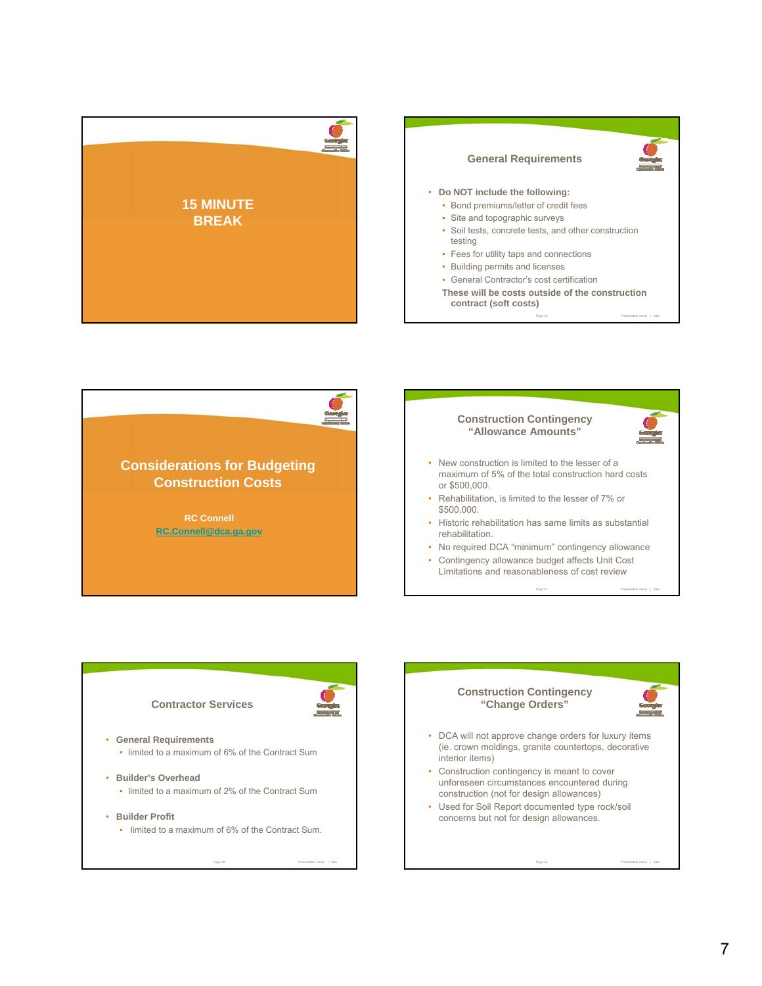



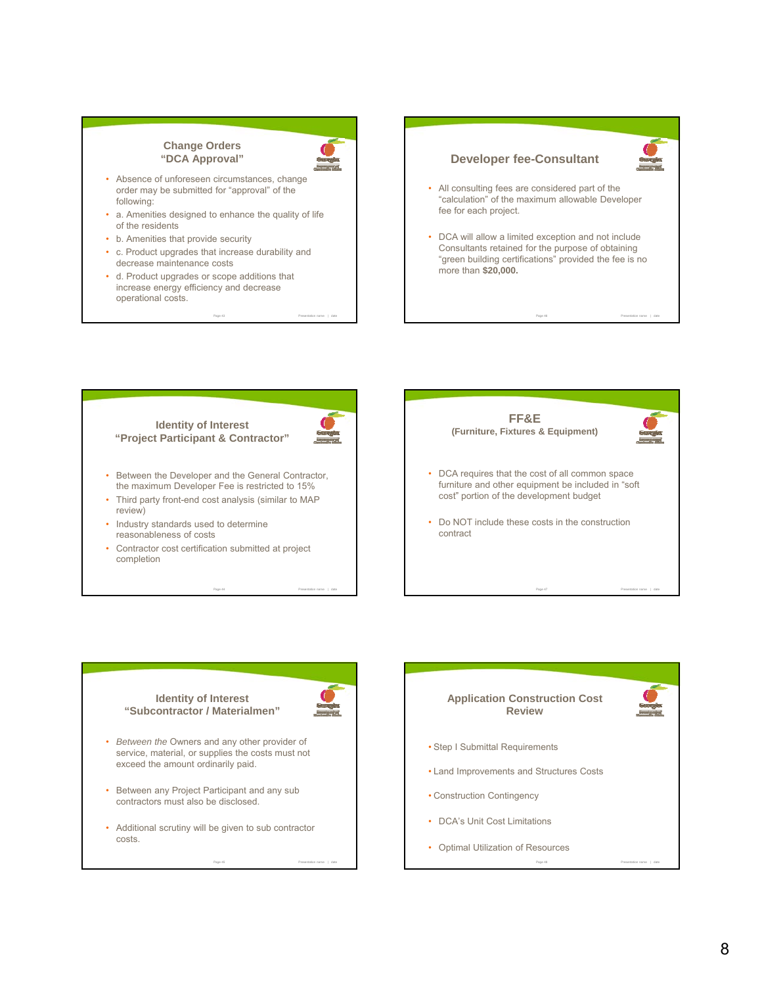### **Change Orders "DCA Approval"**



- Absence of unforeseen circumstances, change order may be submitted for "approval" of the following:
- a. Amenities designed to enhance the quality of life of the residents
- b. Amenities that provide security
- c. Product upgrades that increase durability and decrease maintenance costs

Page 43 **Presentation name | date** 

Page 44 **Presentation name | date** 

Page 45 Presentation name | date

• d. Product upgrades or scope additions that increase energy efficiency and decrease operational costs.



## **Identity of Interest "Project Participant & Contractor"** • Between the Developer and the General Contractor, the maximum Developer Fee is restricted to 15% • Third party front-end cost analysis (similar to MAP review) • Industry standards used to determine

- reasonableness of costs
- Contractor cost certification submitted at project completion





- *Between the* Owners and any other provider of service, material, or supplies the costs must not
	- exceed the amount ordinarily paid exceed the amount ordinarily paid.
- Between any Project Participant and any sub contractors must also be disclosed.
- Additional scrutiny will be given to sub contractor costs.

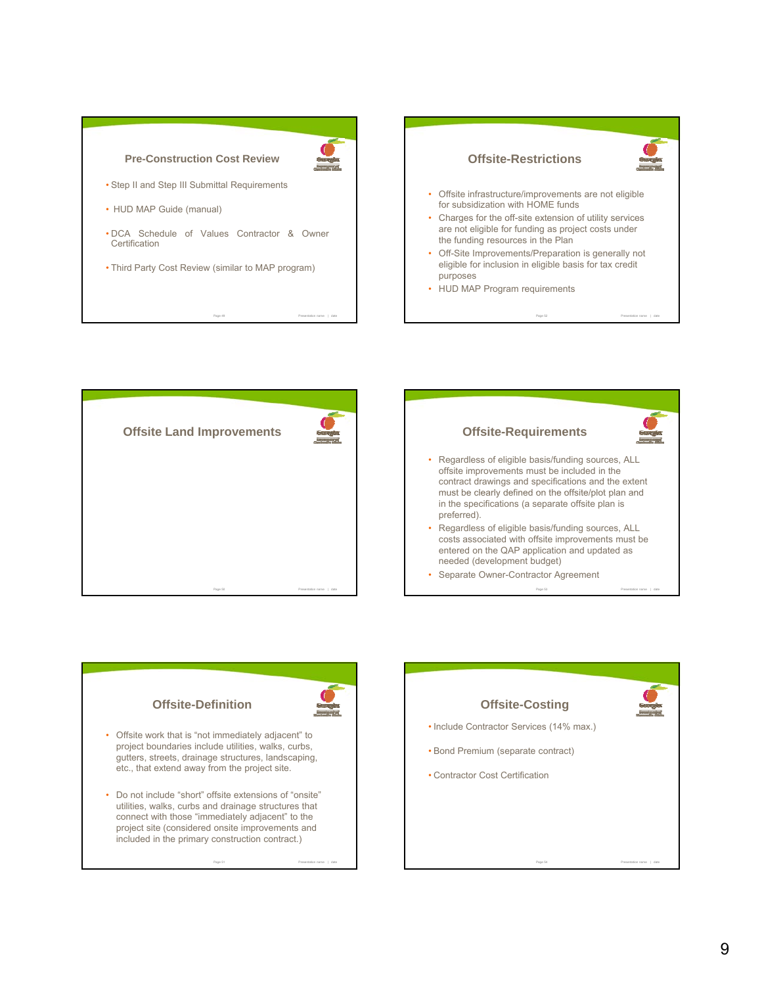





Page 53 **Presentation name | date** 

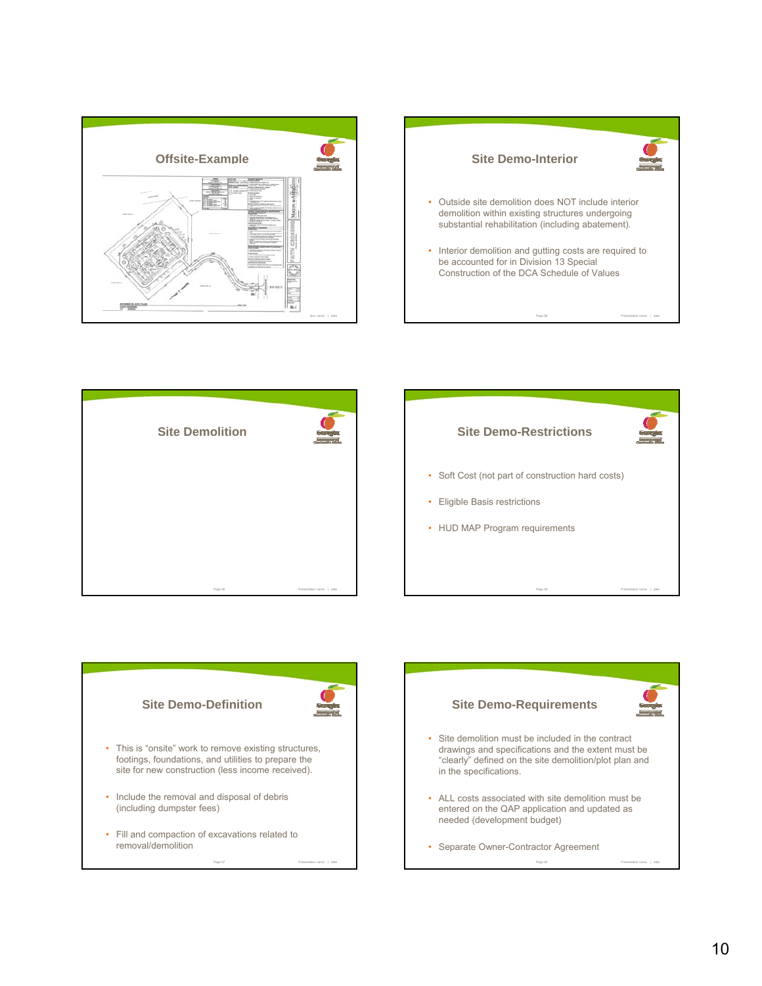







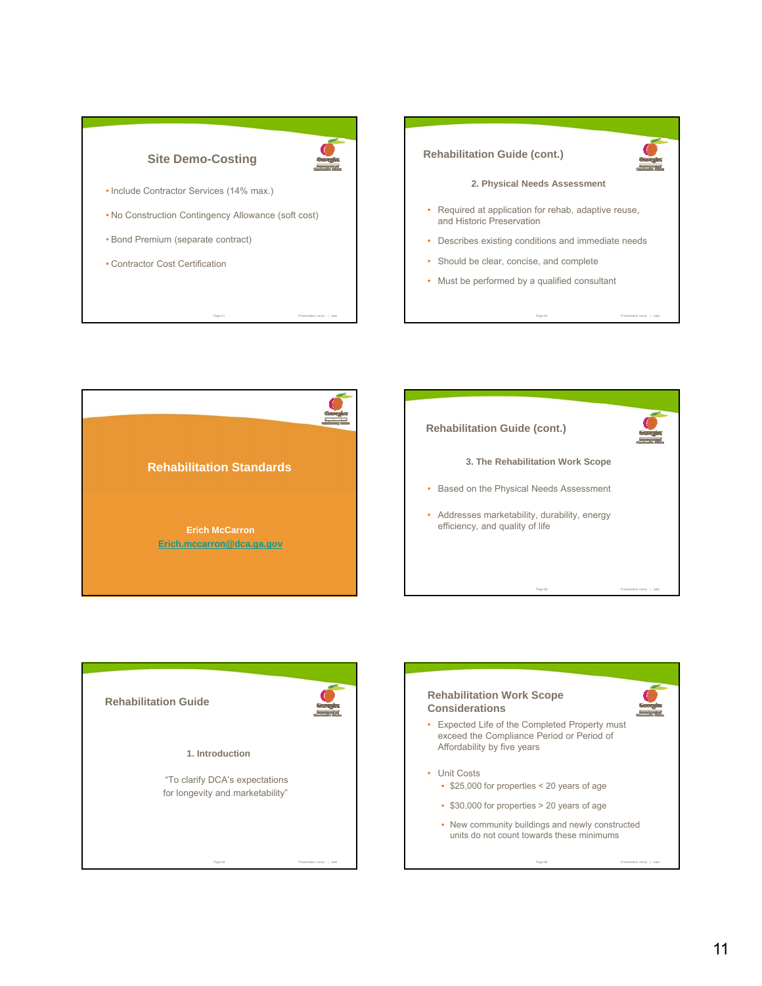





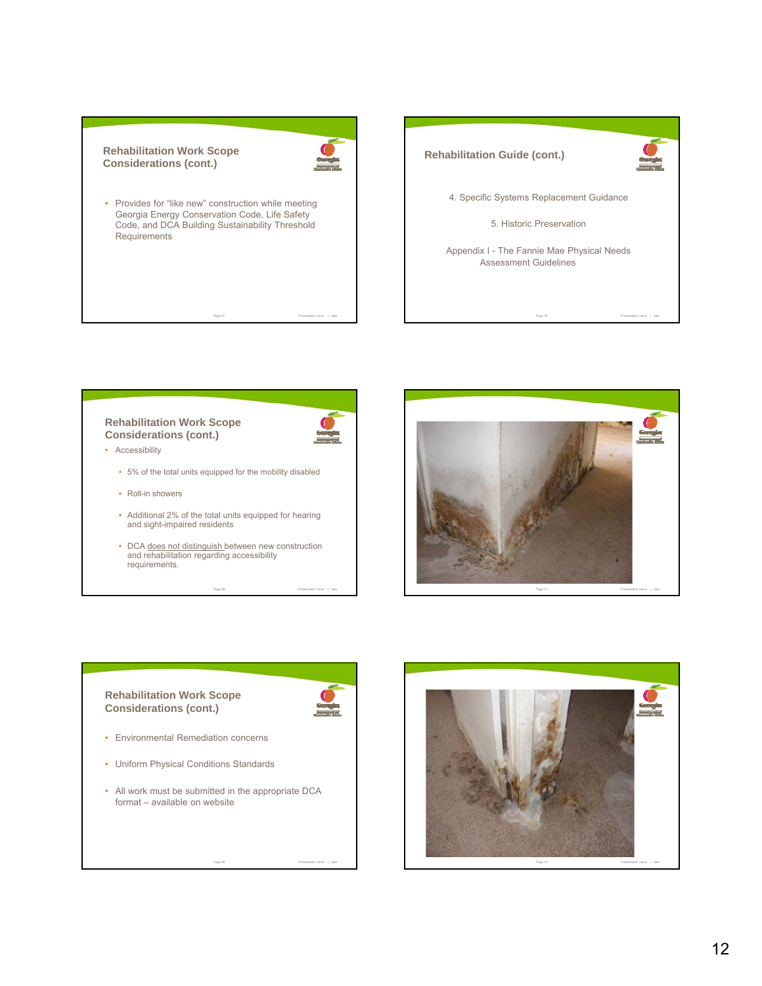#### **Rehabilitation Work Scope Considerations (cont.)**



• Provides for "like new" construction while meeting Georgia Energy Conservation Code, Life Safety Code, and DCA Building Sustainability Threshold **Requirements** 

Page 67 Presentation name | date

Page 68 Presentation name | date



## **Rehabilitation Work Scope Considerations (cont.)** • Accessibility ▪ 5% of the total units equipped for the mobility disabled

- Roll-in showers
- Additional 2% of the total units equipped for hearing and sight-impaired residents
- **•** DCA does not distinguish between new construction and rehabilitation regarding accessibility requirements.





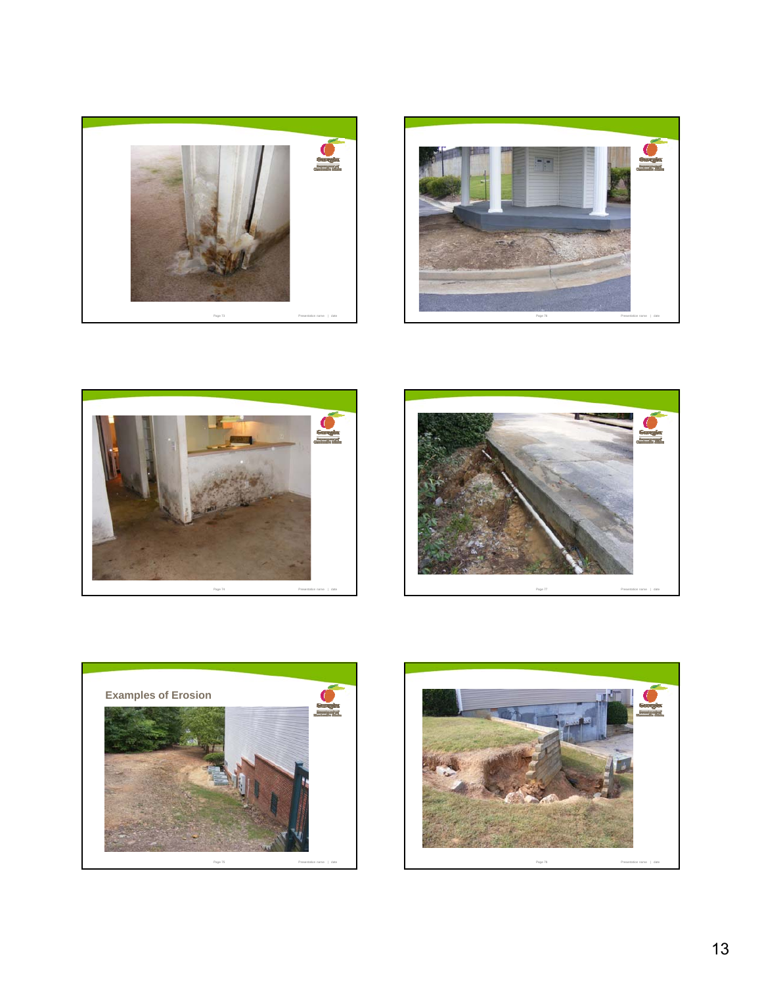